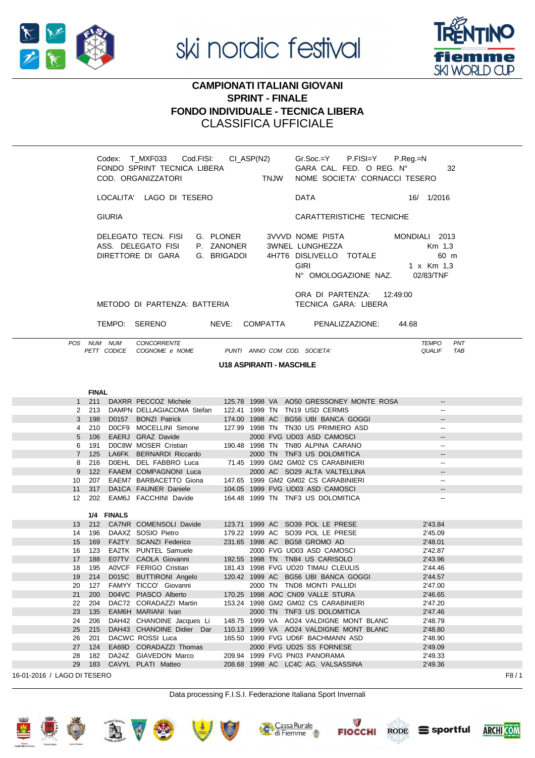

ski nordic festival



## **CAMPIONATI ITALIANI GIOVANI SPRINT - FINALE FONDO INDIVIDUALE - TECNICA LIBERA CLASSIFICA UFFICIALE**

|             |                                 |                                                                               |  | Codex: T_MXF033 Cod.FISI: CI_ASP(N2) Gr.Soc.=Y P.FISI=Y P.Reg.=N<br>GARA CAL. FED. O REG. N°<br>32<br>NOME SOCIETA' CORNACCI TESERO |                                                                                                                                                                                                                         |                                                    |  |  |  |
|-------------|---------------------------------|-------------------------------------------------------------------------------|--|-------------------------------------------------------------------------------------------------------------------------------------|-------------------------------------------------------------------------------------------------------------------------------------------------------------------------------------------------------------------------|----------------------------------------------------|--|--|--|
|             |                                 | LOCALITA' LAGO DI TESERO                                                      |  | DATA                                                                                                                                | 16/1/2016                                                                                                                                                                                                               |                                                    |  |  |  |
|             | <b>GIURIA</b>                   |                                                                               |  |                                                                                                                                     | CARATTERISTICHE TECNICHE                                                                                                                                                                                                |                                                    |  |  |  |
|             |                                 |                                                                               |  |                                                                                                                                     | DELEGATO TECN. FISI G. PLONER 3VVVD NOME PISTA MONDIALI 2013<br>ASS. DELEGATO FISI P. ZANONER 3WNEL LUNGHEZZA<br>DIRETTORE DI GARA G. BRIGADOI 4H7T6 DISLIVELLO TOTALE<br><b>GIRI</b><br>N° OMOLOGAZIONE NAZ. 02/83/TNF | Km 1,3<br>60 m<br>1 x Km 1,3                       |  |  |  |
|             |                                 | METODO DI PARTENZA: BATTERIA                                                  |  |                                                                                                                                     | ORA DI PARTENZA: 12:49:00<br>TECNICA GARA: LIBERA                                                                                                                                                                       |                                                    |  |  |  |
|             |                                 |                                                                               |  |                                                                                                                                     | TEMPO: SERENO NEVE: COMPATTA PENALIZZAZIONE:                                                                                                                                                                            | 44.68                                              |  |  |  |
|             | POS NUM NUM                     | <b>CONCORRENTE</b><br>PETT CODICE COGNOME e NOME PUNTI ANNO COM COD. SOCIETA' |  |                                                                                                                                     |                                                                                                                                                                                                                         | <b>TEMPO</b><br><b>PNT</b><br><b>QUALIF</b><br>TAB |  |  |  |
|             | <b>U18 ASPIRANTI - MASCHILE</b> |                                                                               |  |                                                                                                                                     |                                                                                                                                                                                                                         |                                                    |  |  |  |
|             |                                 |                                                                               |  |                                                                                                                                     |                                                                                                                                                                                                                         |                                                    |  |  |  |
|             | <b>FINAL</b>                    |                                                                               |  |                                                                                                                                     |                                                                                                                                                                                                                         |                                                    |  |  |  |
|             |                                 |                                                                               |  |                                                                                                                                     | 1 211 DAXRR PECCOZ Michele 125.78 1998 VA AO50 GRESSONEY MONTE ROSA                                                                                                                                                     |                                                    |  |  |  |
|             |                                 | 2 213 DAMPN DELLAGIACOMA Stefan 122.41 1999 TN TN19 USD CERMIS                |  |                                                                                                                                     |                                                                                                                                                                                                                         | $\overline{\phantom{a}}$                           |  |  |  |
|             |                                 |                                                                               |  |                                                                                                                                     | 3 198 D0157 BONZI Patrick 174.00 1998 AC BG56 UBI BANCA GOGGI                                                                                                                                                           | $\sim$                                             |  |  |  |
|             |                                 |                                                                               |  |                                                                                                                                     | 4 210 DOCF9 MOCELLINI Simone 127.99 1998 TN TN30 US PRIMIERO ASD<br>5 106 EAERJ GRAZ Davide 2000 FVG UD03 ASD CAMOSCI                                                                                                   | $\overline{\phantom{a}}$                           |  |  |  |
|             |                                 |                                                                               |  |                                                                                                                                     |                                                                                                                                                                                                                         |                                                    |  |  |  |
|             |                                 | 6 191 DOC8W MOSER Cristian 190.48 1998 TN TN80 ALPINA CARANO                  |  |                                                                                                                                     |                                                                                                                                                                                                                         | $\overline{\phantom{a}}$                           |  |  |  |
| $7^{\circ}$ | 125                             | LA6FK BERNARDI Riccardo                                                       |  |                                                                                                                                     | 2000 TN TNF3 US DOLOMITICA                                                                                                                                                                                              |                                                    |  |  |  |
|             |                                 | 8 216 DOEHL DEL FABBRO Luca 71.45 1999 GM2 GM02 CS CARABINIERI                |  |                                                                                                                                     |                                                                                                                                                                                                                         | $\overline{\phantom{a}}$                           |  |  |  |
|             |                                 | 9 122 FAAEM COMPAGNONI Luca                                                   |  |                                                                                                                                     | 2000 AC SO29 ALTA VALTELLINA                                                                                                                                                                                            |                                                    |  |  |  |
|             |                                 | 10 207 EAEM7 BARBACETTO Giona 147.65 1999 GM2 GM02 CS CARABINIERI             |  |                                                                                                                                     |                                                                                                                                                                                                                         | $\overline{\phantom{a}}$                           |  |  |  |
|             |                                 | 11 317 DA1CA FAUNER Daniele 104.05 1999 FVG UD03 ASD CAMOSCI                  |  |                                                                                                                                     |                                                                                                                                                                                                                         |                                                    |  |  |  |
|             | 1/4 FINALS                      | 12 202 EAM6J FACCHINI Davide 164.48 1999 TN TNF3 US DOLOMITICA                |  |                                                                                                                                     |                                                                                                                                                                                                                         | $\overline{\phantom{a}}$                           |  |  |  |
|             |                                 | 13  212  CA7NR COMENSOLI Davide  123.71  1999 AC  SO39  POL LE  PRESE         |  |                                                                                                                                     |                                                                                                                                                                                                                         | 2'43.84                                            |  |  |  |
|             |                                 | 14  196  DAAXZ  SOSIO  Pietro   179.22  1999  AC  SO39  POL LE  PRESE         |  |                                                                                                                                     |                                                                                                                                                                                                                         | 2'45.09                                            |  |  |  |
| 15 169      |                                 | FA2TY SCANZI Federico 231.65 1998 AC BG58 GROMO AD                            |  |                                                                                                                                     |                                                                                                                                                                                                                         | 2'48.01                                            |  |  |  |
| 16          | 123                             | EA2TK PUNTEL Samuele                                                          |  |                                                                                                                                     | 2000 FVG UD03 ASD CAMOSCI                                                                                                                                                                                               | 2'42.87                                            |  |  |  |
| 17 188      |                                 | E07TV CAOLA Giovanni 192.55 1998 TN TN84 US CARISOLO                          |  |                                                                                                                                     |                                                                                                                                                                                                                         | 2'43.96                                            |  |  |  |
|             |                                 |                                                                               |  |                                                                                                                                     |                                                                                                                                                                                                                         |                                                    |  |  |  |

| 18 195 |  | A0VCF FERIGO Cristian                                      |  |  | 181.43 1998 FVG UD20 TIMAU CLEULIS                                       | 2'44.46 |  |
|--------|--|------------------------------------------------------------|--|--|--------------------------------------------------------------------------|---------|--|
|        |  | 19 214 D015C BUTTIRONI Angelo                              |  |  | 120.42 1999 AC BG56 UBI BANCA GOGGI                                      | 2'44.57 |  |
| 20 127 |  | FAMYY TICCO' Giovanni                                      |  |  | 2000 TN TND8 MONTI PALLIDI                                               | 2'47.00 |  |
| 21 200 |  | D04VC PIASCO Alberto                                       |  |  | 170.25 1998 AOC CN09 VALLE STURA                                         | 2'46.65 |  |
| 22 204 |  | DAC72 CORADAZZI Martin 153.24 1998 GM2 GM02 CS CARABINIERI |  |  |                                                                          | 2'47.20 |  |
|        |  | 23 135 EAM6H MARIANI Ivan 2000 TN TNF3 US DOLOMITICA       |  |  |                                                                          | 2'47.46 |  |
|        |  |                                                            |  |  | 24 206 DAH42 CHANOINE Jacques Li 148.75 1999 VA AO24 VALDIGNE MONT BLANC | 2'48.79 |  |
|        |  | 25 215 DAH43 CHANOINE Didier Dar                           |  |  | 110.13 1999 VA AO24 VALDIGNE MONT BLANC                                  | 2'48.80 |  |
|        |  | 26 201 DACWC ROSSI Luca                                    |  |  | 165.50 1999 FVG UD6F BACHMANN ASD                                        | 2'48.90 |  |
| 27 124 |  | EA69D CORADAZZI Thomas                                     |  |  | 2000 FVG UD25 SS FORNESE                                                 | 2'49.09 |  |
|        |  | 28 182 DA24Z GIAVEDON Marco                                |  |  | 209.94 1999 FVG PN03 PANORAMA                                            | 2'49.33 |  |
|        |  | 29 183 CAVYL PLATI Matteo                                  |  |  | 208.68 1998 AC LC4C AG. VALSASSINA                                       | 2'49.36 |  |
|        |  |                                                            |  |  |                                                                          |         |  |

16-01-2016 / LAGO DI TESERO

## Data processing F.I.S.I. Federazione Italiana Sport Invernali

















F8/1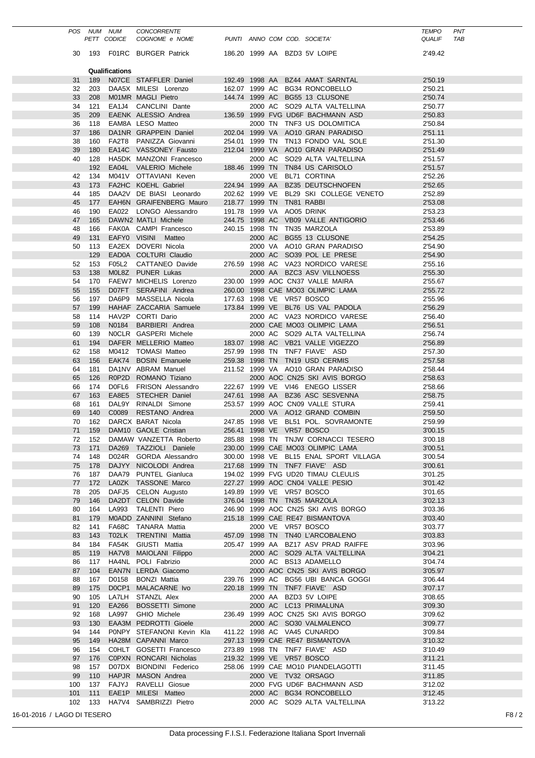|                             | POS NUM NUM      | PETT CODICE    | <b>CONCORRENTE</b><br>COGNOME e NOME             |                           |  | PUNTI ANNO COM COD. SOCIETA'                                             | <b>TEMPO</b><br><b>QUALIF</b> | <b>PNT</b><br>TAB |
|-----------------------------|------------------|----------------|--------------------------------------------------|---------------------------|--|--------------------------------------------------------------------------|-------------------------------|-------------------|
|                             |                  |                |                                                  |                           |  |                                                                          |                               |                   |
|                             |                  |                | 30 193 F01RC BURGER Patrick                      |                           |  | 186.20 1999 AA BZD3 5V LOIPE                                             | 2'49.42                       |                   |
|                             |                  | Qualifications |                                                  |                           |  |                                                                          |                               |                   |
| 31                          | 189              |                | N07CE STAFFLER Daniel                            |                           |  | 192.49 1998 AA BZ44 AMAT SARNTAL                                         | 2'50.19                       |                   |
| 32                          | 203              |                | DAA5X MILESI Lorenzo                             |                           |  | 162.07 1999 AC BG34 RONCOBELLO                                           | 2'50.21<br>2'50.74            |                   |
| 33<br>34                    | 208<br>121       |                | M01MR MAGLI Pietro<br>EA1J4 CANCLINI Dante       |                           |  | 144.74 1999 AC BG55 13 CLUSONE<br>2000 AC SO29 ALTA VALTELLINA           | 2'50.77                       |                   |
| 35                          | 209              |                | EAENK ALESSIO Andrea                             |                           |  | 136.59 1999 FVG UD6F BACHMANN ASD                                        | 2'50.83                       |                   |
| 36                          | 118              |                | EAM8A LESO Matteo                                |                           |  | 2000 TN TNF3 US DOLOMITICA                                               | 2'50.84                       |                   |
| 37                          | 186              |                | DA1NR GRAPPEIN Daniel                            |                           |  | 202.04 1999 VA AO10 GRAN PARADISO                                        | 2'51.11                       |                   |
| 38                          | 160              |                | FA2T8 PANIZZA Giovanni                           |                           |  | 254.01 1999 TN TN13 FONDO VAL SOLE                                       | 2'51.30                       |                   |
| 39                          | 180              |                | EA14C VASSONEY Fausto                            |                           |  | 212.04 1999 VA AO10 GRAN PARADISO                                        | 2'51.49                       |                   |
| 40                          | 128<br>192       |                | HA5DK MANZONI Francesco<br>EA04L VALERIO Michele |                           |  | 2000 AC SO29 ALTA VALTELLINA<br>188.46 1999 TN TN84 US CARISOLO          | 2'51.57<br>2'51.57            |                   |
|                             | 42 134           |                | M041V OTTAVIANI Keven                            |                           |  | 2000 VE BL71 CORTINA                                                     | 2'52.26                       |                   |
| 43                          | 173              |                | FA2HC KOEHL Gabriel                              |                           |  | 224.94 1999 AA BZ35 DEUTSCHNOFEN                                         | 2'52.65                       |                   |
| 44                          | 185              |                | DAA2V DE BIASI Leonardo                          |                           |  | 202.62 1999 VE BL29 SKI COLLEGE VENETO                                   | 2'52.89                       |                   |
| 45                          | 177              |                | EAH6N GRAIFENBERG Mauro                          | 218.77 1999 TN TN81 RABBI |  |                                                                          | 2'53.08                       |                   |
| 46                          | 190              |                | EA022 LONGO Alessandro                           | 191.78 1999 VA AO05 DRINK |  |                                                                          | 2'53.23                       |                   |
| 47                          | 165              |                | DAWN2 MATLI Michele                              |                           |  | 244.75 1998 AC VB09 VALLE ANTIGORIO                                      | 2'53.46                       |                   |
| 48<br>49                    | 166<br>131       |                | FAK0A CAMPI Francesco<br>EAFY0 VISINI Matteo     |                           |  | 240.15 1998 TN TN35 MARZOLA<br>2000 AC BG55 13 CLUSONE                   | 2'53.89<br>2'54.25            |                   |
| 50                          | 113              |                | EA2EX DOVERI Nicola                              |                           |  | 2000 VA AO10 GRAN PARADISO                                               | 2'54.90                       |                   |
|                             | 129              |                | EAD0A COLTURI Claudio                            |                           |  | 2000 AC SO39 POL LE PRESE                                                | 2'54.90                       |                   |
| 52                          | 153              |                | F05L2 CATTANEO Davide                            |                           |  | 276.59 1998 AC VA23 NORDICO VARESE                                       | 2'55.16                       |                   |
| 53                          | 138              |                | M0L8Z PUNER Lukas                                |                           |  | 2000 AA BZC3 ASV VILLNOESS                                               | 2'55.30                       |                   |
| 54                          | 170              |                | FAEW7 MICHELIS Lorenzo                           |                           |  | 230.00 1999 AOC CN37 VALLE MAIRA                                         | 2'55.67                       |                   |
| 55                          | 155              |                | D07FT SERAFINI Andrea                            |                           |  | 260.00 1998 CAE MO03 OLIMPIC LAMA                                        | 2'55.72                       |                   |
| 56<br>57                    | 197<br>199       |                | DA6P9 MASSELLA Nicola<br>HAHAF ZACCARIA Samuele  |                           |  | 177.63 1998 VE VR57 BOSCO<br>173.84 1999 VE BL76 US VAL PADOLA           | 2'55.96<br>2'56.29            |                   |
| 58                          | 114              |                | HAV2P CORTI Dario                                |                           |  | 2000 AC VA23 NORDICO VARESE                                              | 2'56.40                       |                   |
| 59                          | 108              |                | N0184 BARBIERI Andrea                            |                           |  | 2000 CAE MO03 OLIMPIC LAMA                                               | 2'56.51                       |                   |
| 60                          | 139              |                | NOCLR GASPERI Michele                            |                           |  | 2000 AC SO29 ALTA VALTELLINA                                             | 2'56.74                       |                   |
| 61                          | 194              |                | DAFER MELLERIO Matteo                            |                           |  | 183.07 1998 AC VB21 VALLE VIGEZZO                                        | 2'56.89                       |                   |
| 62                          | 158              |                | M0412 TOMASI Matteo                              |                           |  | 257.99 1998 TN TNF7 FIAVE' ASD                                           | 2'57.30                       |                   |
| 63                          | 156              |                | EAK74 BOSIN Emanuele                             |                           |  | 259.38 1998 TN TN19 USD CERMIS                                           | 2'57.58                       |                   |
| 64<br>65                    | 181<br>126       |                | DA1NV ABRAM Manuel<br>R0P2D ROMANO Tiziano       |                           |  | 211.52 1999 VA AO10 GRAN PARADISO<br>2000 AOC CN25 SKI AVIS BORGO        | 2'58.44<br>2'58.63            |                   |
| 66                          | 174              |                | DOFL6 FRISON Alessandro                          |                           |  | 222.67 1999 VE VI46 ENEGO LISSER                                         | 2'58.66                       |                   |
| 67                          | 163              |                | EA8E5 STECHER Daniel                             |                           |  | 247.61 1998 AA BZ36 ASC SESVENNA                                         | 2'58.75                       |                   |
| 68                          | 161              |                | DAL9Y RINALDI Simone                             |                           |  | 253.57 1999 AOC CN09 VALLE STURA                                         | 2'59.41                       |                   |
| 69                          | 140              |                | C0089 RESTANO Andrea                             |                           |  | 2000 VA AO12 GRAND COMBIN                                                | 2'59.50                       |                   |
| 70                          | 162              |                | DARCX BARAT Nicola                               |                           |  | 247.85 1998 VE BL51 POL. SOVRAMONTE                                      | 2'59.99                       |                   |
|                             |                  |                | 71 159 DAM10 GAOLE Cristian                      |                           |  | 256.41 1998 VE VR57 BOSCO                                                | 3'00.15                       |                   |
|                             | 72 152<br>73 171 |                | DAMAW VANZETTA Roberto<br>DA269 TAZZIOLI Daniele |                           |  | 285.88 1998 TN TNJW CORNACCI TESERO<br>230.00 1999 CAE MO03 OLIMPIC LAMA | 3'00.18<br>3'00.51            |                   |
|                             | 74 148           |                | D024R GORDA Alessandro                           |                           |  | 300.00 1998 VE BL15 ENAL SPORT VILLAGA                                   | 3'00.54                       |                   |
| 75                          | 178              |                | DAJYY NICOLODI Andrea                            |                           |  | 217.68 1999 TN TNF7 FIAVE' ASD                                           | 3'00.61                       |                   |
| 76                          | 187              |                | DAA79 PUNTEL Gianluca                            |                           |  | 194.02 1999 FVG UD20 TIMAU CLEULIS                                       | 3'01.25                       |                   |
|                             | 77 172           |                | LA0ZK TASSONE Marco                              |                           |  | 227.27 1999 AOC CN04 VALLE PESIO                                         | 3'01.42                       |                   |
| 78                          | 205              |                | DAFJ5 CELON Augusto                              |                           |  | 149.89 1999 VE VR57 BOSCO                                                | 3'01.65                       |                   |
| 79                          | 146              |                | DA2DT CELON Davide                               |                           |  | 376.04 1998 TN TN35 MARZOLA                                              | 3'02.13                       |                   |
| 80<br>81                    | 164<br>179       |                | LA993 TALENTI Piero<br>M0ADD ZANNINI Stefano     |                           |  | 246.90 1999 AOC CN25 SKI AVIS BORGO<br>215.18 1999 CAE RE47 BISMANTOVA   | 3'03.36<br>3'03.40            |                   |
| 82                          | 141              |                | FA68C TANARA Mattia                              |                           |  | 2000 VE VR57 BOSCO                                                       | 3'03.77                       |                   |
| 83                          | 143              |                | T02LK TRENTINI Mattia                            |                           |  | 457.09 1998 TN TN40 L'ARCOBALENO                                         | 3'03.83                       |                   |
| 84                          | 184              |                | FA54K GIUSTI Mattia                              |                           |  | 205.47 1999 AA BZ17 ASV PRAD RAIFFE                                      | 3'03.96                       |                   |
| 85                          | 119              |                | HA7V8 MAIOLANI Filippo                           |                           |  | 2000 AC SO29 ALTA VALTELLINA                                             | 3'04.21                       |                   |
| 86                          | 117              |                | HA4NL POLI Fabrizio                              |                           |  | 2000 AC BS13 ADAMELLO                                                    | 3'04.74                       |                   |
| 87                          | 104              |                | EAN7N LERDA Giacomo                              |                           |  | 2000 AOC CN25 SKI AVIS BORGO                                             | 3'05.97                       |                   |
| 88<br>89                    | 167<br>175       |                | D0158 BONZI Mattia<br>DOCP1 MALACARNE Ivo        |                           |  | 239.76 1999 AC BG56 UBI BANCA GOGGI<br>220.18 1999 TN TNF7 FIAVE' ASD    | 3'06.44<br>3'07.17            |                   |
| 90                          | 105              |                | LA7LH STANZL Alex                                |                           |  | 2000 AA BZD3 5V LOIPE                                                    | 3'08.65                       |                   |
| 91                          | 120              |                | EA266 BOSSETTI Simone                            |                           |  | 2000 AC LC13 PRIMALUNA                                                   | 3'09.30                       |                   |
| 92                          | 168              |                | LA997 GHIO Michele                               |                           |  | 236.49 1999 AOC CN25 SKI AVIS BORGO                                      | 3'09.62                       |                   |
| 93                          | 130              |                | EAA3M PEDROTTI Gioele                            |                           |  | 2000 AC SO30 VALMALENCO                                                  | 3'09.77                       |                   |
| 94                          | 144              |                | PONPY STEFANONI Kevin Kla                        |                           |  | 411.22 1998 AC VA45 CUNARDO                                              | 3'09.84                       |                   |
| 95<br>96                    | 149<br>154       |                | HA28M CAPANNI Marco<br>COHLT GOSETTI Francesco   |                           |  | 297.13 1999 CAE RE47 BISMANTOVA<br>273.89 1998 TN TNF7 FIAVE' ASD        | 3'10.32<br>3'10.49            |                   |
|                             | 97 176           |                | C0PXN RONCARI Nicholas                           |                           |  | 219.32 1999 VE VR57 BOSCO                                                | 3'11.21                       |                   |
| 98                          | 157              |                | D07DX BIONDINI Federico                          |                           |  | 258.06 1999 CAE MO10 PIANDELAGOTTI                                       | 3'11.45                       |                   |
| 99                          | 110              |                | HAPJR MASON Andrea                               |                           |  | 2000 VE TV32 ORSAGO                                                      | 3'11.85                       |                   |
| 100                         | 137              |                | FAJYJ RAVELLI Giosue                             |                           |  | 2000 FVG UD6F BACHMANN ASD                                               | 3'12.02                       |                   |
| 101                         | 111              |                | EAE1P MILESI Matteo                              |                           |  | 2000 AC BG34 RONCOBELLO                                                  | 3'12.45                       |                   |
| 102                         | 133              |                | HA7V4 SAMBRIZZI Pietro                           |                           |  | 2000 AC SO29 ALTA VALTELLINA                                             | 3'13.22                       |                   |
| 16-01-2016 / LAGO DI TESERO |                  |                |                                                  |                           |  |                                                                          |                               | F8/2              |